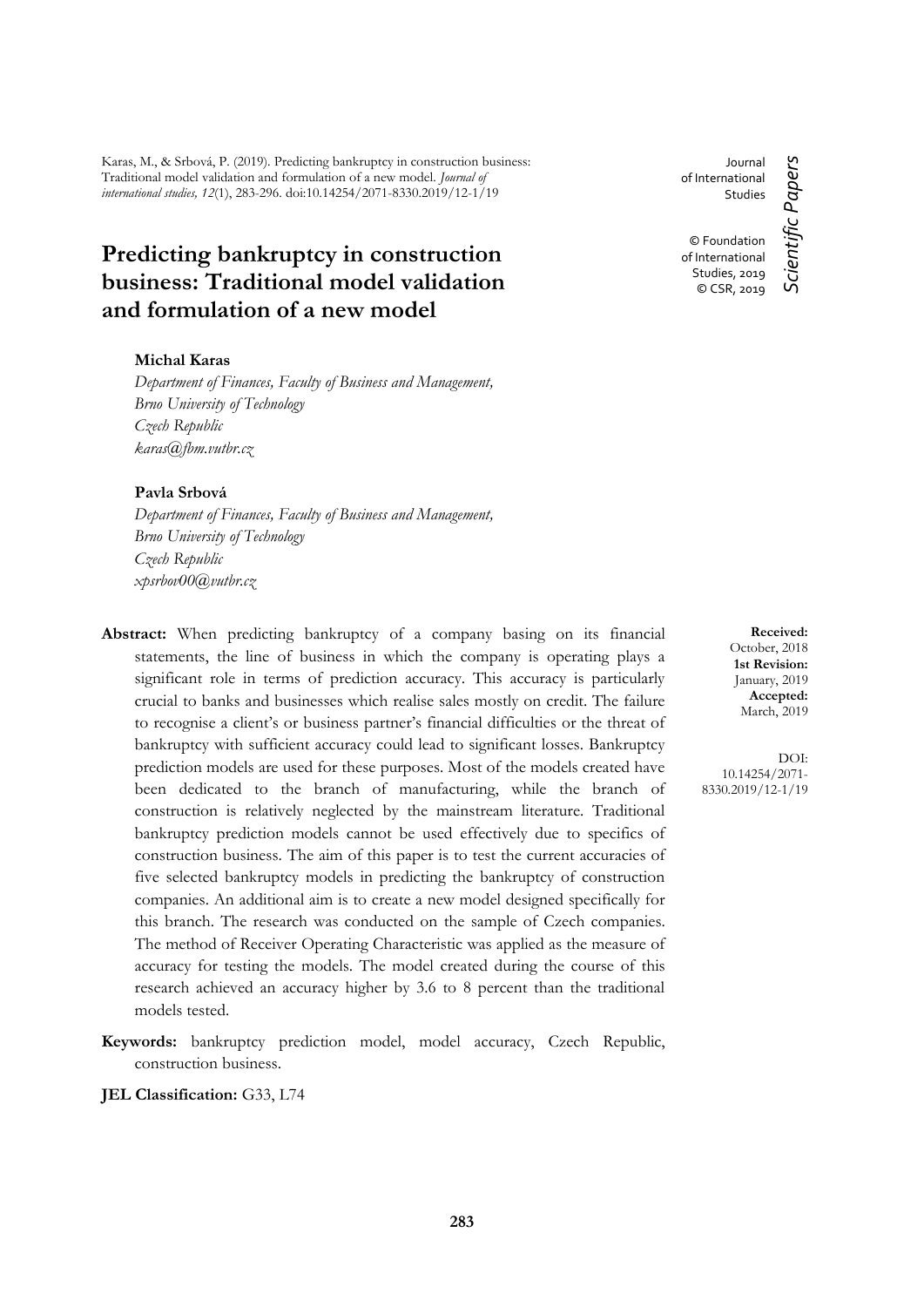Karas, M., & Srbová, P. (2019). Predicting bankruptcy in construction business: Traditional model validation and formulation of a new model. *Journal of international studies, 12*(1), 283-296. doi:10.14254/2071-8330.2019/12-1/19

# **Predicting bankruptcy in construction business: Traditional model validation and formulation of a new model**

#### **Michal Karas**

*Department of Finances, Faculty of Business and Management, Brno University of Technology Czech Republic karas@fbm.vutbr.cz*

#### **Pavla Srbová**

*Department of Finances, Faculty of Business and Management, Brno University of Technology Czech Republic xpsrbov00@vutbr.cz*

- **Abstract:** When predicting bankruptcy of a company basing on its financial statements, the line of business in which the company is operating plays a significant role in terms of prediction accuracy. This accuracy is particularly crucial to banks and businesses which realise sales mostly on credit. The failure to recognise a client's or business partner's financial difficulties or the threat of bankruptcy with sufficient accuracy could lead to significant losses. Bankruptcy prediction models are used for these purposes. Most of the models created have been dedicated to the branch of manufacturing, while the branch of construction is relatively neglected by the mainstream literature. Traditional bankruptcy prediction models cannot be used effectively due to specifics of construction business. The aim of this paper is to test the current accuracies of five selected bankruptcy models in predicting the bankruptcy of construction companies. An additional aim is to create a new model designed specifically for this branch. The research was conducted on the sample of Czech companies. The method of Receiver Operating Characteristic was applied as the measure of accuracy for testing the models. The model created during the course of this research achieved an accuracy higher by 3.6 to 8 percent than the traditional models tested.
- **Keywords:** bankruptcy prediction model, model accuracy, Czech Republic, construction business.

**JEL Classification:** G33, L74

Journal of International Studies © Foundation of International Studies, 2019

Scientific Papers *Scientific Papers* © CSR, 2019

> **Received:** October, 2018 **1st Revision:** January, 2019 **Accepted:** March, 2019

DOI: 10.14254/2071- 8330.2019/12-1/19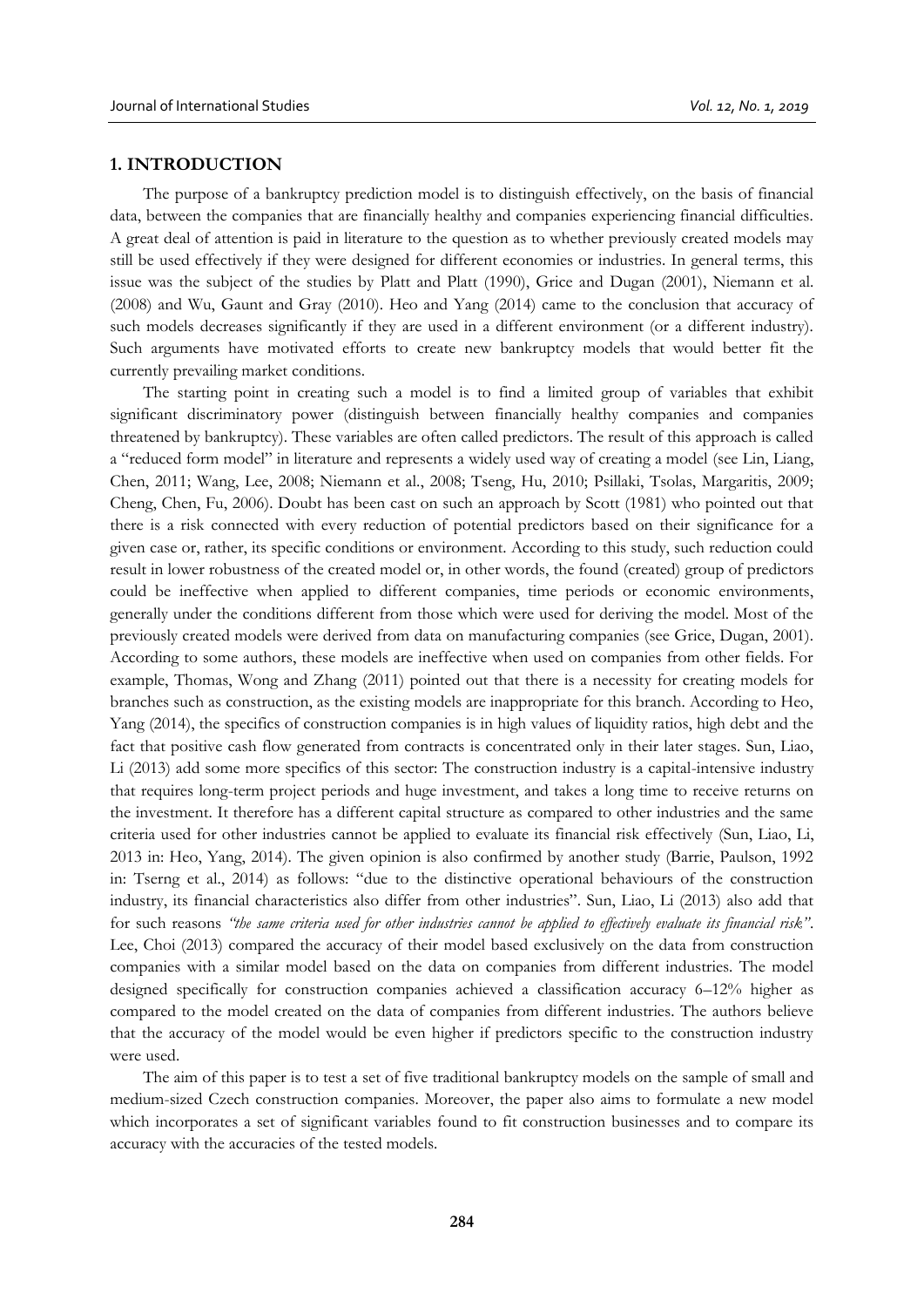#### **1. INTRODUCTION**

The purpose of a bankruptcy prediction model is to distinguish effectively, on the basis of financial data, between the companies that are financially healthy and companies experiencing financial difficulties. A great deal of attention is paid in literature to the question as to whether previously created models may still be used effectively if they were designed for different economies or industries. In general terms, this issue was the subject of the studies by Platt and Platt (1990), Grice and Dugan (2001), Niemann et al. (2008) and Wu, Gaunt and Gray (2010). Heo and Yang (2014) came to the conclusion that accuracy of such models decreases significantly if they are used in a different environment (or a different industry). Such arguments have motivated efforts to create new bankruptcy models that would better fit the currently prevailing market conditions.

The starting point in creating such a model is to find a limited group of variables that exhibit significant discriminatory power (distinguish between financially healthy companies and companies threatened by bankruptcy). These variables are often called predictors. The result of this approach is called a "reduced form model" in literature and represents a widely used way of creating a model (see Lin, Liang, Chen, 2011; Wang, Lee, 2008; Niemann et al., 2008; Tseng, Hu, 2010; Psillaki, Tsolas, Margaritis, 2009; Cheng, Chen, Fu, 2006). Doubt has been cast on such an approach by Scott (1981) who pointed out that there is a risk connected with every reduction of potential predictors based on their significance for a given case or, rather, its specific conditions or environment. According to this study, such reduction could result in lower robustness of the created model or, in other words, the found (created) group of predictors could be ineffective when applied to different companies, time periods or economic environments, generally under the conditions different from those which were used for deriving the model. Most of the previously created models were derived from data on manufacturing companies (see Grice, Dugan, 2001). According to some authors, these models are ineffective when used on companies from other fields. For example, Thomas, Wong and Zhang (2011) pointed out that there is a necessity for creating models for branches such as construction, as the existing models are inappropriate for this branch. According to Heo, Yang (2014), the specifics of construction companies is in high values of liquidity ratios, high debt and the fact that positive cash flow generated from contracts is concentrated only in their later stages. Sun, Liao, Li (2013) add some more specifics of this sector: The construction industry is a capital-intensive industry that requires long-term project periods and huge investment, and takes a long time to receive returns on the investment. It therefore has a different capital structure as compared to other industries and the same criteria used for other industries cannot be applied to evaluate its financial risk effectively (Sun, Liao, Li, 2013 in: Heo, Yang, 2014). The given opinion is also confirmed by another study (Barrie, Paulson, 1992 in: Tserng et al., 2014) as follows: "due to the distinctive operational behaviours of the construction industry, its financial characteristics also differ from other industries". Sun, Liao, Li (2013) also add that for such reasons *"the same criteria used for other industries cannot be applied to effectively evaluate its financial risk"*. Lee, Choi (2013) compared the accuracy of their model based exclusively on the data from construction companies with a similar model based on the data on companies from different industries. The model designed specifically for construction companies achieved a classification accuracy 6–12% higher as compared to the model created on the data of companies from different industries. The authors believe that the accuracy of the model would be even higher if predictors specific to the construction industry were used.

The aim of this paper is to test a set of five traditional bankruptcy models on the sample of small and medium-sized Czech construction companies. Moreover, the paper also aims to formulate a new model which incorporates a set of significant variables found to fit construction businesses and to compare its accuracy with the accuracies of the tested models.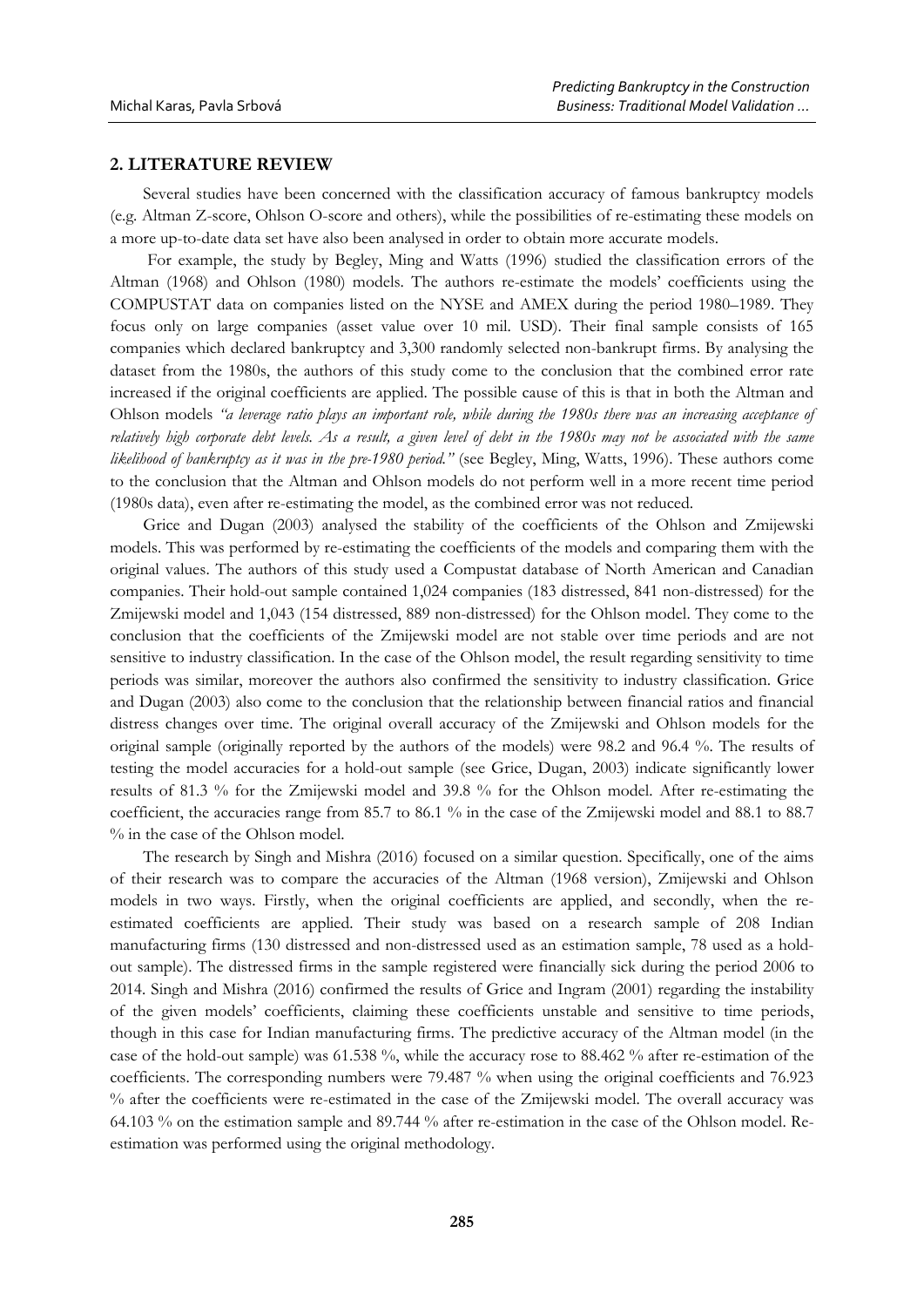#### **2. LITERATURE REVIEW**

Several studies have been concerned with the classification accuracy of famous bankruptcy models (e.g. Altman Z-score, Ohlson O-score and others), while the possibilities of re-estimating these models on a more up-to-date data set have also been analysed in order to obtain more accurate models.

For example, the study by Begley, Ming and Watts (1996) studied the classification errors of the Altman (1968) and Ohlson (1980) models. The authors re-estimate the models' coefficients using the COMPUSTAT data on companies listed on the NYSE and AMEX during the period 1980–1989. They focus only on large companies (asset value over 10 mil. USD). Their final sample consists of 165 companies which declared bankruptcy and 3,300 randomly selected non-bankrupt firms. By analysing the dataset from the 1980s, the authors of this study come to the conclusion that the combined error rate increased if the original coefficients are applied. The possible cause of this is that in both the Altman and Ohlson models *"a leverage ratio plays an important role, while during the 1980s there was an increasing acceptance of relatively high corporate debt levels. As a result, a given level of debt in the 1980s may not be associated with the same likelihood of bankruptcy as it was in the pre-1980 period."* (see Begley, Ming, Watts, 1996). These authors come to the conclusion that the Altman and Ohlson models do not perform well in a more recent time period (1980s data), even after re-estimating the model, as the combined error was not reduced.

Grice and Dugan (2003) analysed the stability of the coefficients of the Ohlson and Zmijewski models. This was performed by re-estimating the coefficients of the models and comparing them with the original values. The authors of this study used a Compustat database of North American and Canadian companies. Their hold-out sample contained 1,024 companies (183 distressed, 841 non-distressed) for the Zmijewski model and 1,043 (154 distressed, 889 non-distressed) for the Ohlson model. They come to the conclusion that the coefficients of the Zmijewski model are not stable over time periods and are not sensitive to industry classification. In the case of the Ohlson model, the result regarding sensitivity to time periods was similar, moreover the authors also confirmed the sensitivity to industry classification. Grice and Dugan (2003) also come to the conclusion that the relationship between financial ratios and financial distress changes over time. The original overall accuracy of the Zmijewski and Ohlson models for the original sample (originally reported by the authors of the models) were 98.2 and 96.4 %. The results of testing the model accuracies for a hold-out sample (see Grice, Dugan, 2003) indicate significantly lower results of 81.3 % for the Zmijewski model and 39.8 % for the Ohlson model. After re-estimating the coefficient, the accuracies range from 85.7 to 86.1 % in the case of the Zmijewski model and 88.1 to 88.7 % in the case of the Ohlson model.

The research by Singh and Mishra (2016) focused on a similar question. Specifically, one of the aims of their research was to compare the accuracies of the Altman (1968 version), Zmijewski and Ohlson models in two ways. Firstly, when the original coefficients are applied, and secondly, when the reestimated coefficients are applied. Their study was based on a research sample of 208 Indian manufacturing firms (130 distressed and non-distressed used as an estimation sample, 78 used as a holdout sample). The distressed firms in the sample registered were financially sick during the period 2006 to 2014. Singh and Mishra (2016) confirmed the results of Grice and Ingram (2001) regarding the instability of the given models' coefficients, claiming these coefficients unstable and sensitive to time periods, though in this case for Indian manufacturing firms. The predictive accuracy of the Altman model (in the case of the hold-out sample) was 61.538 %, while the accuracy rose to 88.462 % after re-estimation of the coefficients. The corresponding numbers were 79.487 % when using the original coefficients and 76.923 % after the coefficients were re-estimated in the case of the Zmijewski model. The overall accuracy was 64.103 % on the estimation sample and 89.744 % after re-estimation in the case of the Ohlson model. Reestimation was performed using the original methodology.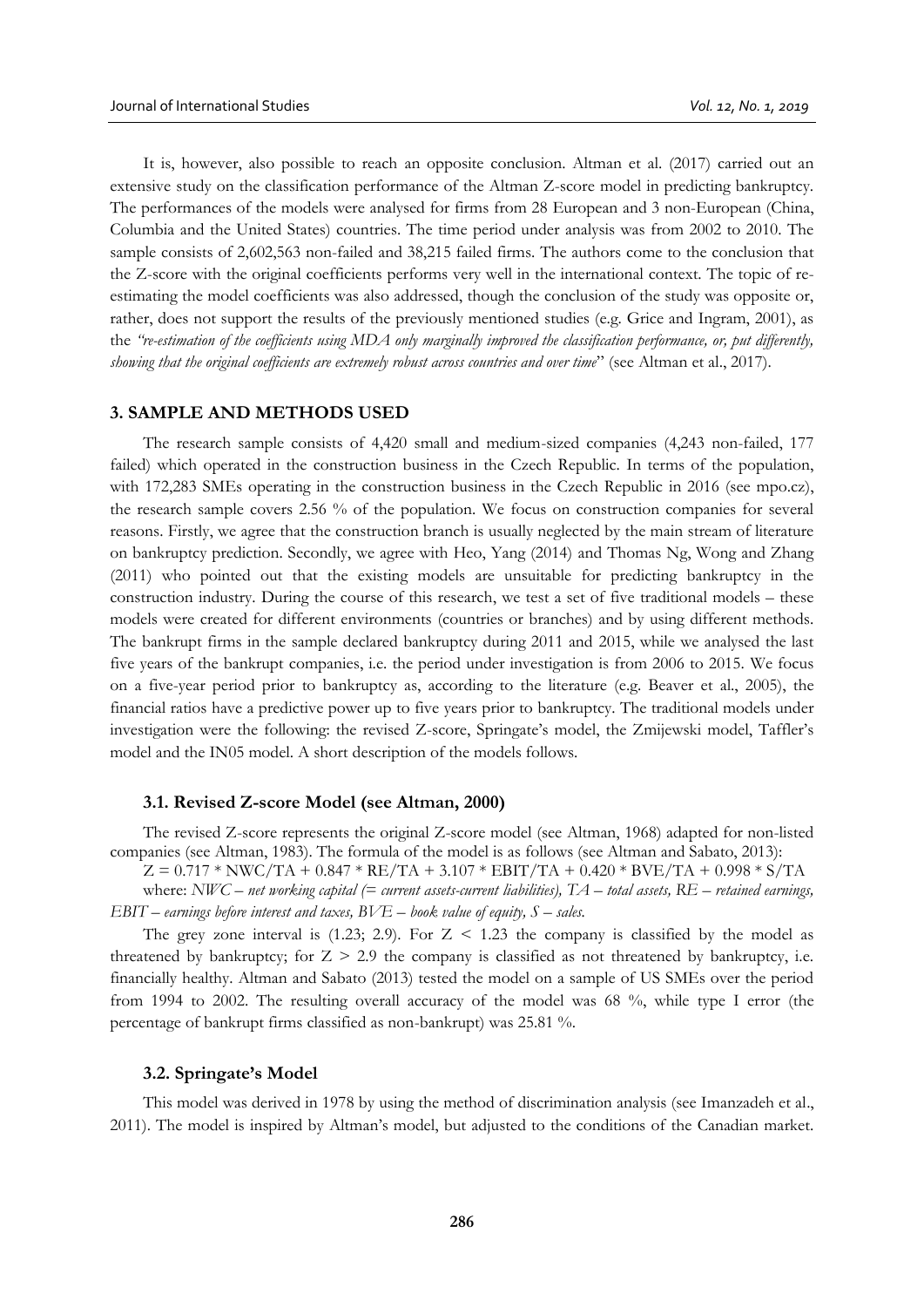It is, however, also possible to reach an opposite conclusion. Altman et al. (2017) carried out an extensive study on the classification performance of the Altman Z-score model in predicting bankruptcy. The performances of the models were analysed for firms from 28 European and 3 non-European (China, Columbia and the United States) countries. The time period under analysis was from 2002 to 2010. The sample consists of 2,602,563 non-failed and 38,215 failed firms. The authors come to the conclusion that the Z-score with the original coefficients performs very well in the international context. The topic of reestimating the model coefficients was also addressed, though the conclusion of the study was opposite or, rather, does not support the results of the previously mentioned studies (e.g. Grice and Ingram, 2001), as the *"re-estimation of the coefficients using MDA only marginally improved the classification performance, or, put differently, showing that the original coefficients are extremely robust across countries and over time*" (see Altman et al., 2017).

#### **3. SAMPLE AND METHODS USED**

The research sample consists of 4,420 small and medium-sized companies (4,243 non-failed, 177 failed) which operated in the construction business in the Czech Republic. In terms of the population, with 172,283 SMEs operating in the construction business in the Czech Republic in 2016 (see mpo.cz), the research sample covers 2.56 % of the population. We focus on construction companies for several reasons. Firstly, we agree that the construction branch is usually neglected by the main stream of literature on bankruptcy prediction. Secondly, we agree with Heo, Yang (2014) and Thomas Ng, Wong and Zhang (2011) who pointed out that the existing models are unsuitable for predicting bankruptcy in the construction industry. During the course of this research, we test a set of five traditional models – these models were created for different environments (countries or branches) and by using different methods. The bankrupt firms in the sample declared bankruptcy during 2011 and 2015, while we analysed the last five years of the bankrupt companies, i.e. the period under investigation is from 2006 to 2015. We focus on a five-year period prior to bankruptcy as, according to the literature (e.g. Beaver et al., 2005), the financial ratios have a predictive power up to five years prior to bankruptcy. The traditional models under investigation were the following: the revised Z-score, Springate's model, the Zmijewski model, Taffler's model and the IN05 model. A short description of the models follows.

#### **3.1. Revised Z-score Model (see Altman, 2000)**

The revised Z-score represents the original Z-score model (see Altman, 1968) adapted for non-listed companies (see Altman, 1983). The formula of the model is as follows (see Altman and Sabato, 2013):

 $Z = 0.717 * NWC/TA + 0.847 * RE/TA + 3.107 * EBIT/TA + 0.420 * BVE/TA + 0.998 * S/TA$ 

where: *NWC – net working capital (= current assets-current liabilities), TA – total assets, RE – retained earnings, EBIT – earnings before interest and taxes, BVE – book value of equity, S – sales.*

The grey zone interval is  $(1.23; 2.9)$ . For  $Z \le 1.23$  the company is classified by the model as threatened by bankruptcy; for  $Z > 2.9$  the company is classified as not threatened by bankruptcy, i.e. financially healthy. Altman and Sabato (2013) tested the model on a sample of US SMEs over the period from 1994 to 2002. The resulting overall accuracy of the model was 68 %, while type I error (the percentage of bankrupt firms classified as non-bankrupt) was 25.81 %.

#### **3.2. Springate's Model**

This model was derived in 1978 by using the method of discrimination analysis (see Imanzadeh et al., 2011). The model is inspired by Altman's model, but adjusted to the conditions of the Canadian market.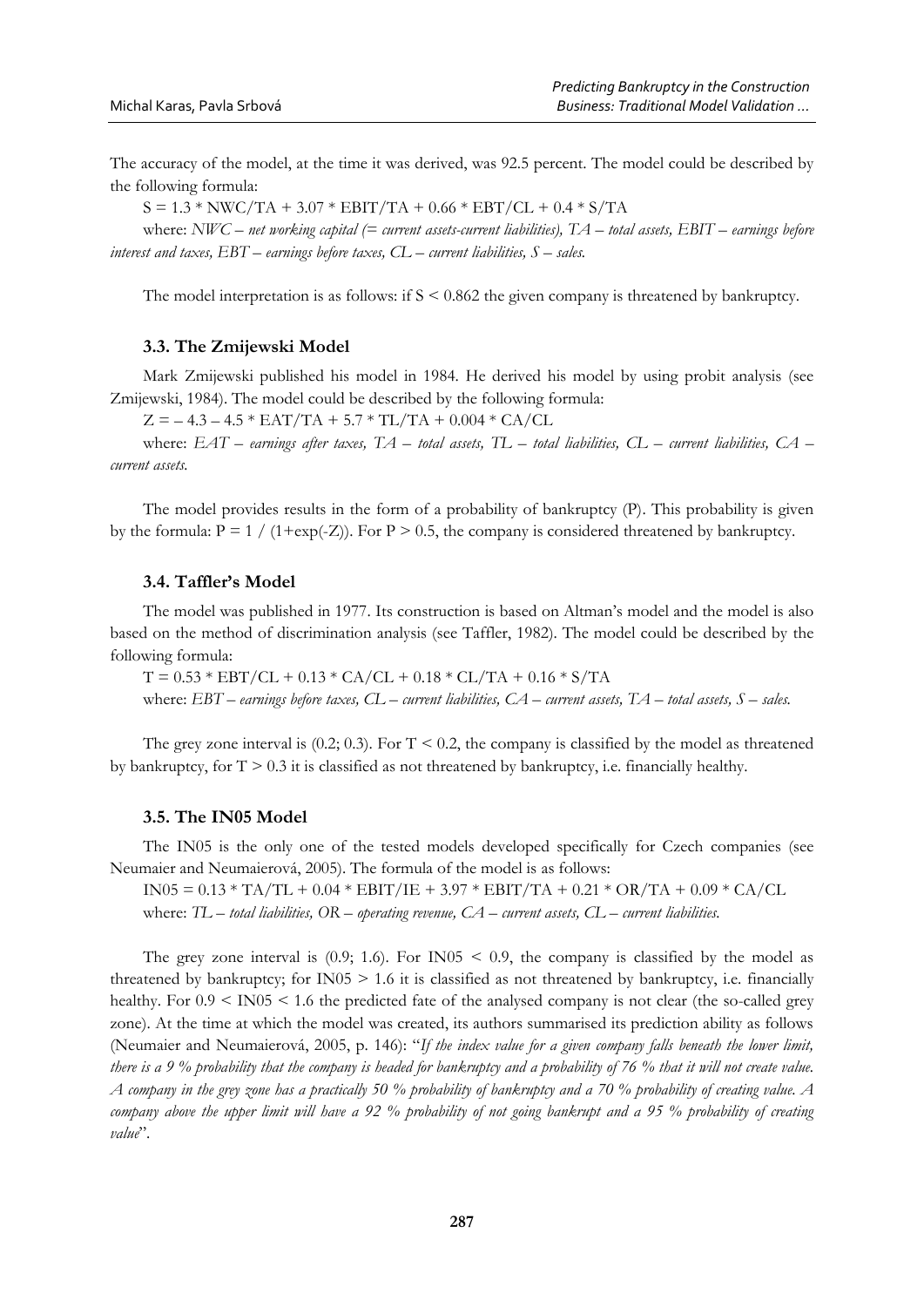The accuracy of the model, at the time it was derived, was 92.5 percent. The model could be described by the following formula:

 $S = 1.3 * NWC/TA + 3.07 * EBIT/TA + 0.66 * EBT/CL + 0.4 * S/TA$ 

where: *NWC – net working capital (= current assets-current liabilities), TA – total assets, EBIT – earnings before interest and taxes, EBT – earnings before taxes, CL – current liabilities, S – sales.*

The model interpretation is as follows: if S < 0.862 the given company is threatened by bankruptcy.

#### **3.3. The Zmijewski Model**

Mark Zmijewski published his model in 1984. He derived his model by using probit analysis (see Zmijewski, 1984). The model could be described by the following formula:

 $Z = -4.3 - 4.5 * EAT/TA + 5.7 * TL/TA + 0.004 * CA/CL$ 

where: *EAT – earnings after taxes, TA – total assets, TL – total liabilities, CL – current liabilities, CA – current assets.*

The model provides results in the form of a probability of bankruptcy (P). This probability is given by the formula:  $P = 1 / (1 + exp(-Z))$ . For  $P > 0.5$ , the company is considered threatened by bankruptcy.

#### **3.4. Taffler's Model**

The model was published in 1977. Its construction is based on Altman's model and the model is also based on the method of discrimination analysis (see Taffler, 1982). The model could be described by the following formula:

 $T = 0.53 * EBT/CL + 0.13 * CA/CL + 0.18 * CL/TA + 0.16 * S/TA$ where: *EBT – earnings before taxes, CL – current liabilities, CA – current assets, TA – total assets, S – sales.*

The grey zone interval is  $(0.2; 0.3)$ . For T < 0.2, the company is classified by the model as threatened by bankruptcy, for  $T > 0.3$  it is classified as not threatened by bankruptcy, i.e. financially healthy.

#### **3.5. The IN05 Model**

The IN05 is the only one of the tested models developed specifically for Czech companies (see Neumaier and Neumaierová, 2005). The formula of the model is as follows:

IN05 =  $0.13 * T_A/T_L + 0.04 * EBIT/IE + 3.97 * EBIT/TA + 0.21 * OR/TA + 0.09 * CA/CL$ where: *TL – total liabilities, OR – operating revenue, CA – current assets, CL – current liabilities.*

The grey zone interval is  $(0.9; 1.6)$ . For IN05 < 0.9, the company is classified by the model as threatened by bankruptcy; for  $IN05 \geq 1.6$  it is classified as not threatened by bankruptcy, i.e. financially healthy. For  $0.9 \leq N005 \leq 1.6$  the predicted fate of the analysed company is not clear (the so-called grey zone). At the time at which the model was created, its authors summarised its prediction ability as follows (Neumaier and Neumaierová, 2005, p. 146): "*If the index value for a given company falls beneath the lower limit, there is a 9 % probability that the company is headed for bankruptcy and a probability of 76 % that it will not create value. A company in the grey zone has a practically 50 % probability of bankruptcy and a 70 % probability of creating value. A company above the upper limit will have a 92 % probability of not going bankrupt and a 95 % probability of creating value*".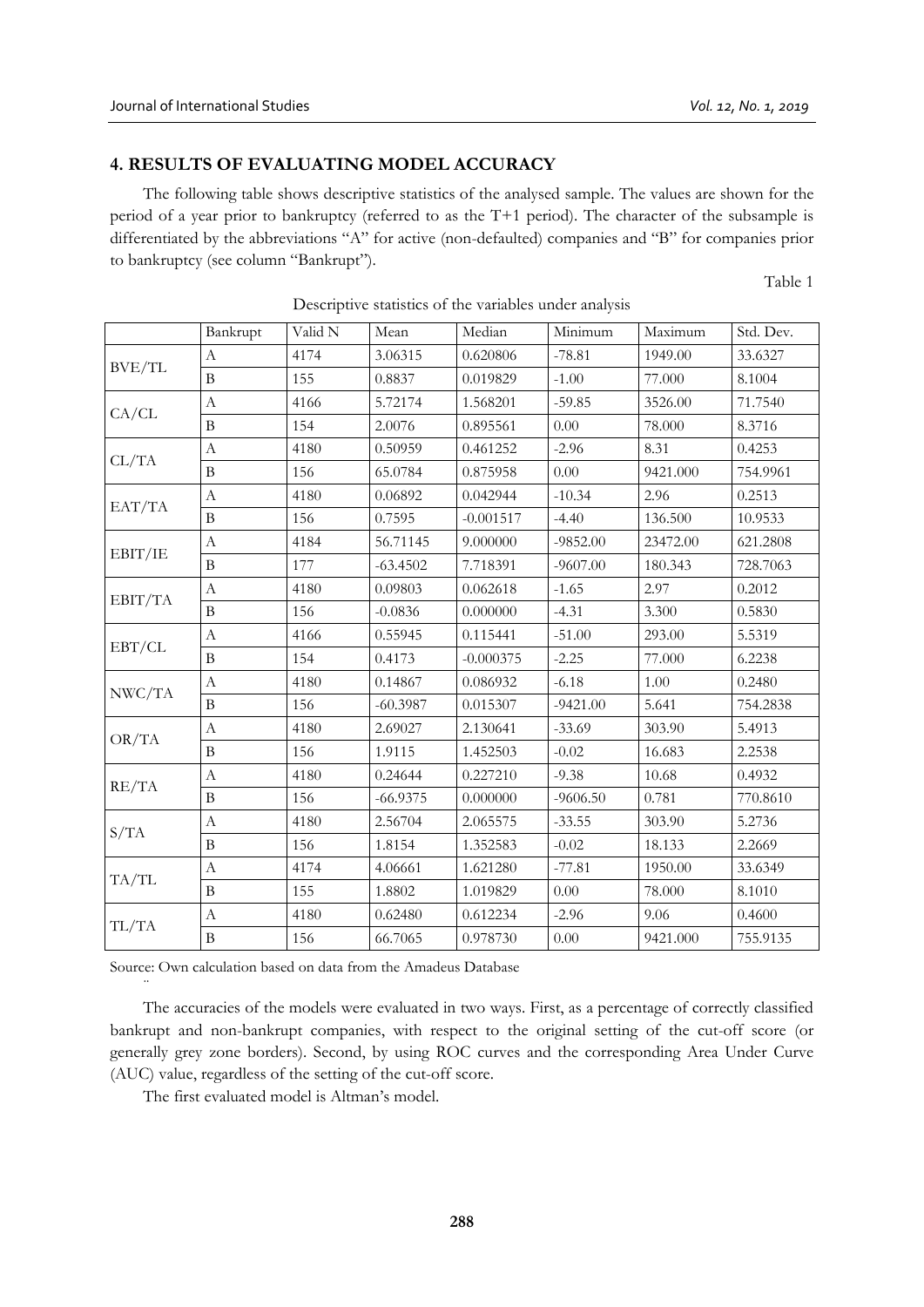# **4. RESULTS OF EVALUATING MODEL ACCURACY**

The following table shows descriptive statistics of the analysed sample. The values are shown for the period of a year prior to bankruptcy (referred to as the T+1 period). The character of the subsample is differentiated by the abbreviations "A" for active (non-defaulted) companies and "B" for companies prior to bankruptcy (see column "Bankrupt").

Table 1

|                                                                                       | Bankrupt         | Valid N | Mean                                                                                                                                                                                                                                                                                                                                                                                                                                                                                                        | Median   | Minimum    | Maximum  | Std. Dev. |
|---------------------------------------------------------------------------------------|------------------|---------|-------------------------------------------------------------------------------------------------------------------------------------------------------------------------------------------------------------------------------------------------------------------------------------------------------------------------------------------------------------------------------------------------------------------------------------------------------------------------------------------------------------|----------|------------|----------|-----------|
|                                                                                       | $\mathbf{A}$     | 4174    | 3.06315                                                                                                                                                                                                                                                                                                                                                                                                                                                                                                     | 0.620806 | $-78.81$   | 1949.00  | 33.6327   |
|                                                                                       | $\, {\bf B}$     | 155     | 0.8837<br>0.019829<br>5.72174<br>1.568201<br>2.0076<br>0.895561<br>0.50959<br>0.461252<br>65.0784<br>0.875958<br>0.06892<br>0.042944<br>0.7595<br>$-0.001517$<br>56.71145<br>9.000000<br>$-63.4502$<br>7.718391<br>0.09803<br>0.062618<br>$-0.0836$<br>0.000000<br>0.55945<br>0.115441<br>0.4173<br>$-0.000375$<br>0.14867<br>0.086932<br>$-60.3987$<br>0.015307<br>2.69027<br>2.130641<br>1.9115<br>1.452503<br>0.24644<br>0.227210<br>$-66.9375$<br>0.000000<br>2.56704<br>2.065575<br>1.8154<br>1.352583 | $-1.00$  | 77.000     | 8.1004   |           |
| BVE/TL<br>CA/CL<br>CL/TA<br>EAT/TA<br>EBIT/IE<br>EBIT/TA<br>EBT/CL<br>NWC/TA<br>OR/TA | $\boldsymbol{A}$ | 4166    |                                                                                                                                                                                                                                                                                                                                                                                                                                                                                                             |          | $-59.85$   | 3526.00  | 71.7540   |
|                                                                                       | $\, {\bf B}$     | 154     |                                                                                                                                                                                                                                                                                                                                                                                                                                                                                                             |          | 0.00       | 78.000   | 8.3716    |
|                                                                                       | $\mathbf{A}$     | 4180    |                                                                                                                                                                                                                                                                                                                                                                                                                                                                                                             |          | $-2.96$    | 8.31     | 0.4253    |
|                                                                                       | $\bf{B}$         | 156     |                                                                                                                                                                                                                                                                                                                                                                                                                                                                                                             |          | $0.00\,$   | 9421.000 | 754.9961  |
|                                                                                       | $\mathbf{A}$     | 4180    |                                                                                                                                                                                                                                                                                                                                                                                                                                                                                                             |          | $-10.34$   | 2.96     | 0.2513    |
|                                                                                       | $\, {\bf B}$     | 156     |                                                                                                                                                                                                                                                                                                                                                                                                                                                                                                             |          | $-4.40$    | 136.500  | 10.9533   |
|                                                                                       | $\boldsymbol{A}$ | 4184    |                                                                                                                                                                                                                                                                                                                                                                                                                                                                                                             |          | $-9852.00$ | 23472.00 | 621.2808  |
|                                                                                       | $\bf{B}$         | 177     |                                                                                                                                                                                                                                                                                                                                                                                                                                                                                                             |          | $-9607.00$ | 180.343  | 728.7063  |
|                                                                                       | $\boldsymbol{A}$ | 4180    |                                                                                                                                                                                                                                                                                                                                                                                                                                                                                                             |          | $-1.65$    | 2.97     | 0.2012    |
|                                                                                       | $\bf{B}$         | 156     |                                                                                                                                                                                                                                                                                                                                                                                                                                                                                                             |          | $-4.31$    | 3.300    | 0.5830    |
|                                                                                       | $\boldsymbol{A}$ | 4166    |                                                                                                                                                                                                                                                                                                                                                                                                                                                                                                             |          | $-51.00$   | 293.00   | 5.5319    |
|                                                                                       | $\overline{B}$   | 154     |                                                                                                                                                                                                                                                                                                                                                                                                                                                                                                             |          | $-2.25$    | 77.000   | 6.2238    |
|                                                                                       | $\boldsymbol{A}$ | 4180    |                                                                                                                                                                                                                                                                                                                                                                                                                                                                                                             |          | $-6.18$    | 1.00     | 0.2480    |
|                                                                                       | $\overline{B}$   | 156     |                                                                                                                                                                                                                                                                                                                                                                                                                                                                                                             |          | $-9421.00$ | 5.641    | 754.2838  |
|                                                                                       | $\boldsymbol{A}$ | 4180    |                                                                                                                                                                                                                                                                                                                                                                                                                                                                                                             |          | $-33.69$   | 303.90   | 5.4913    |
|                                                                                       | $\, {\bf B}$     | 156     |                                                                                                                                                                                                                                                                                                                                                                                                                                                                                                             |          | $-0.02$    | 16.683   | 2.2538    |
| RE/TA                                                                                 | $\boldsymbol{A}$ | 4180    |                                                                                                                                                                                                                                                                                                                                                                                                                                                                                                             |          | $-9.38$    | 10.68    | 0.4932    |
|                                                                                       | $\, {\bf B}$     | 156     |                                                                                                                                                                                                                                                                                                                                                                                                                                                                                                             |          | $-9606.50$ | 0.781    | 770.8610  |
|                                                                                       | $\boldsymbol{A}$ | 4180    |                                                                                                                                                                                                                                                                                                                                                                                                                                                                                                             |          | $-33.55$   | 303.90   | 5.2736    |
| S/TA                                                                                  | $\overline{B}$   | 156     |                                                                                                                                                                                                                                                                                                                                                                                                                                                                                                             |          | $-0.02$    | 18.133   | 2.2669    |
| TA/TL                                                                                 | $\mathbf{A}$     | 4174    | 4.06661                                                                                                                                                                                                                                                                                                                                                                                                                                                                                                     | 1.621280 | $-77.81$   | 1950.00  | 33.6349   |
|                                                                                       | $\, {\bf B}$     | 155     | 1.8802                                                                                                                                                                                                                                                                                                                                                                                                                                                                                                      | 1.019829 | $0.00\,$   | 78.000   | 8.1010    |
| TL/TA                                                                                 | $\boldsymbol{A}$ | 4180    | 0.62480                                                                                                                                                                                                                                                                                                                                                                                                                                                                                                     | 0.612234 | $-2.96$    | 9.06     | 0.4600    |
|                                                                                       | $\, {\bf B}$     | 156     | 66.7065                                                                                                                                                                                                                                                                                                                                                                                                                                                                                                     | 0.978730 | 0.00       | 9421.000 | 755.9135  |

Descriptive statistics of the variables under analysis

Source: Own calculation based on data from the Amadeus Database

The accuracies of the models were evaluated in two ways. First, as a percentage of correctly classified bankrupt and non-bankrupt companies, with respect to the original setting of the cut-off score (or generally grey zone borders). Second, by using ROC curves and the corresponding Area Under Curve (AUC) value, regardless of the setting of the cut-off score.

The first evaluated model is Altman's model.

¨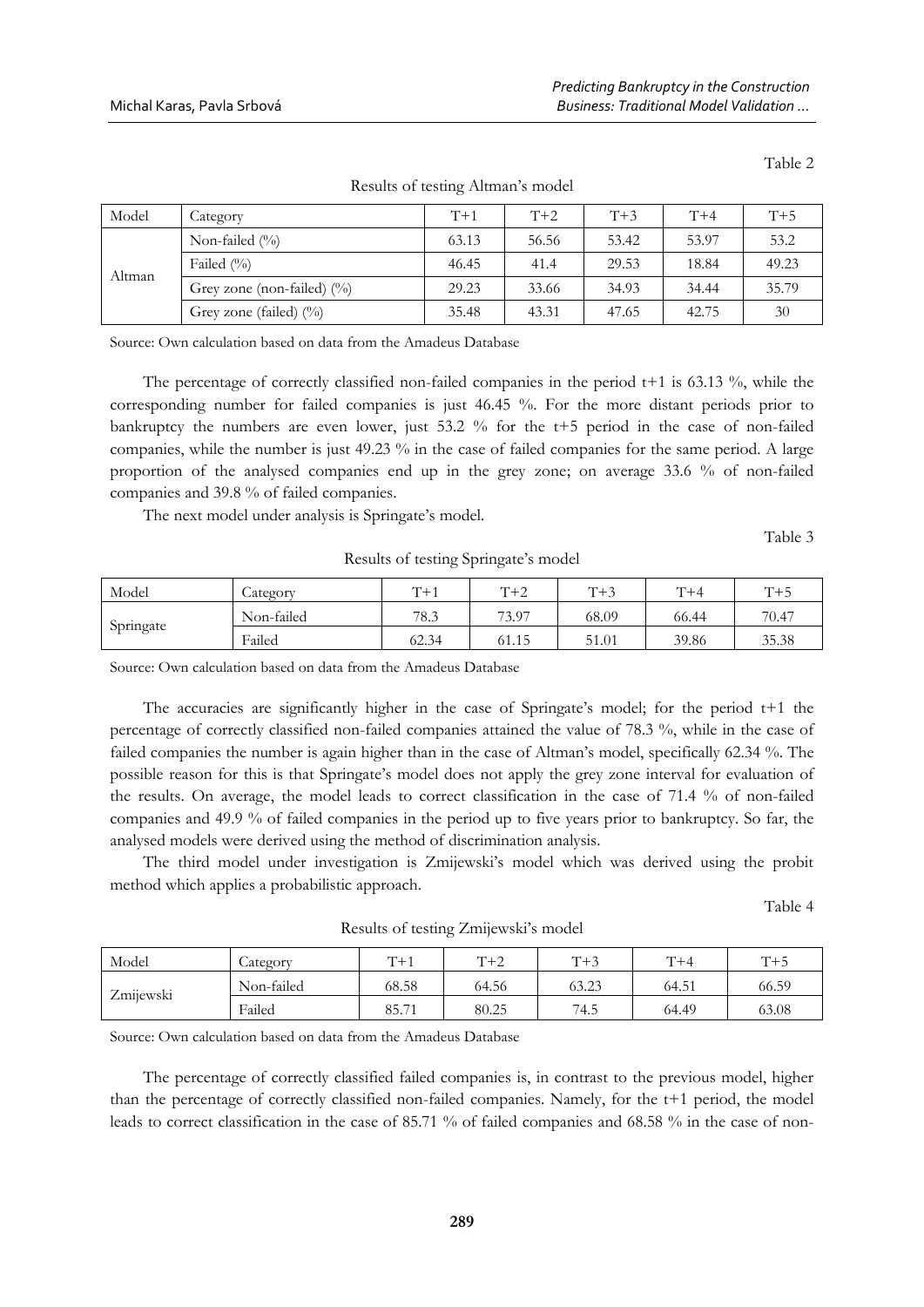| Model  | Category                      | $T+1$ | $T+2$ | $T+3$ | $T+4$ | $T+5$ |
|--------|-------------------------------|-------|-------|-------|-------|-------|
| Altman | Non-failed $(\% )$            | 63.13 | 56.56 | 53.42 | 53.97 | 53.2  |
|        | Failed $(\% )$                | 46.45 | 41.4  | 29.53 | 18.84 | 49.23 |
|        | Grey zone (non-failed) $(\%)$ | 29.23 | 33.66 | 34.93 | 34.44 | 35.79 |
|        | Grey zone (failed) $(\%)$     | 35.48 | 43.31 | 47.65 | 42.75 | 30    |

Results of testing Altman's model

Source: Own calculation based on data from the Amadeus Database

The percentage of correctly classified non-failed companies in the period  $t+1$  is 63.13 %, while the corresponding number for failed companies is just 46.45 %. For the more distant periods prior to bankruptcy the numbers are even lower, just 53.2 % for the t+5 period in the case of non-failed companies, while the number is just 49.23 % in the case of failed companies for the same period. A large proportion of the analysed companies end up in the grey zone; on average 33.6 % of non-failed companies and 39.8 % of failed companies.

The next model under analysis is Springate's model.

Results of testing Springate's model

| Model     | Lategory   | $T+1$ | $T+2$ | $T+3$ | $T+4$ | $T+5$ |
|-----------|------------|-------|-------|-------|-------|-------|
|           | Non-failed | 78.3  | 73.97 | 68.09 | 66.44 | 70.47 |
| Springate | Failed     | 62.34 | 61.15 | 51.01 | 39.86 | 35.38 |

Source: Own calculation based on data from the Amadeus Database

The accuracies are significantly higher in the case of Springate's model; for the period t+1 the percentage of correctly classified non-failed companies attained the value of 78.3 %, while in the case of failed companies the number is again higher than in the case of Altman's model, specifically 62.34 %. The possible reason for this is that Springate's model does not apply the grey zone interval for evaluation of the results. On average, the model leads to correct classification in the case of 71.4 % of non-failed companies and 49.9 % of failed companies in the period up to five years prior to bankruptcy. So far, the analysed models were derived using the method of discrimination analysis.

The third model under investigation is Zmijewski's model which was derived using the probit method which applies a probabilistic approach.

Table 4

| Model     | Lategory   | $T+1$ | $T+2$ | $T+3$ | $T+4$ | $T+5$ |
|-----------|------------|-------|-------|-------|-------|-------|
| Zmijewski | Non-failed | 68.58 | 64.56 | 63.23 | 64.51 | 66.59 |
|           | Failed     | 85.71 | 80.25 | 74.5  | 64.49 | 63.08 |

Results of testing Zmijewski's model

Source: Own calculation based on data from the Amadeus Database

The percentage of correctly classified failed companies is, in contrast to the previous model, higher than the percentage of correctly classified non-failed companies. Namely, for the t+1 period, the model leads to correct classification in the case of 85.71 % of failed companies and 68.58 % in the case of non-

Table 2

Table 3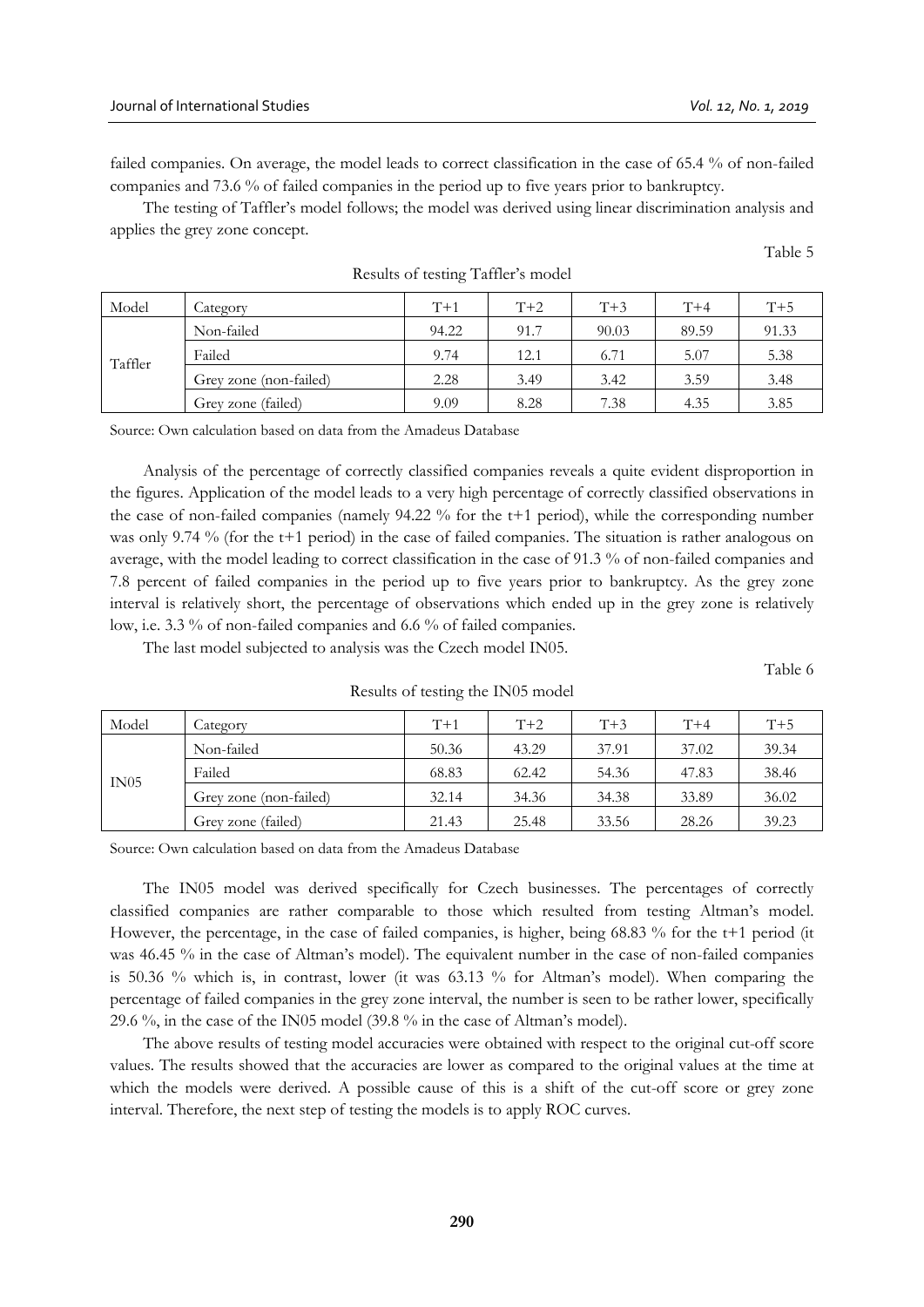failed companies. On average, the model leads to correct classification in the case of 65.4 % of non-failed companies and 73.6 % of failed companies in the period up to five years prior to bankruptcy.

The testing of Taffler's model follows; the model was derived using linear discrimination analysis and applies the grey zone concept.

Table 5

| Model   | Category               | $T+1$ | $T+2$ | $T+3$ | $T+4$ | $T+5$ |
|---------|------------------------|-------|-------|-------|-------|-------|
| Taffler | Non-failed             | 94.22 | 91.7  | 90.03 | 89.59 | 91.33 |
|         | Failed                 | 9.74  | 12.1  | 6.71  | 5.07  | 5.38  |
|         | Grey zone (non-failed) | 2.28  | 3.49  | 3.42  | 3.59  | 3.48  |
|         | Grey zone (failed)     | 9.09  | 8.28  | 7.38  | 4.35  | 3.85  |

Results of testing Taffler's model

Source: Own calculation based on data from the Amadeus Database

Analysis of the percentage of correctly classified companies reveals a quite evident disproportion in the figures. Application of the model leads to a very high percentage of correctly classified observations in the case of non-failed companies (namely 94.22 % for the t+1 period), while the corresponding number was only 9.74 % (for the t+1 period) in the case of failed companies. The situation is rather analogous on average, with the model leading to correct classification in the case of 91.3 % of non-failed companies and 7.8 percent of failed companies in the period up to five years prior to bankruptcy. As the grey zone interval is relatively short, the percentage of observations which ended up in the grey zone is relatively low, i.e. 3.3 % of non-failed companies and 6.6 % of failed companies.

The last model subjected to analysis was the Czech model IN05.

Table 6

| Model | Category               | $T+1$ | $T+2$ | $T+3$ | $T+4$ | $T+5$ |
|-------|------------------------|-------|-------|-------|-------|-------|
| IN05  | Non-failed             | 50.36 | 43.29 | 37.91 | 37.02 | 39.34 |
|       | Failed                 | 68.83 | 62.42 | 54.36 | 47.83 | 38.46 |
|       | Grey zone (non-failed) | 32.14 | 34.36 | 34.38 | 33.89 | 36.02 |
|       | Grey zone (failed)     | 21.43 | 25.48 | 33.56 | 28.26 | 39.23 |

Results of testing the IN05 model

Source: Own calculation based on data from the Amadeus Database

The IN05 model was derived specifically for Czech businesses. The percentages of correctly classified companies are rather comparable to those which resulted from testing Altman's model. However, the percentage, in the case of failed companies, is higher, being 68.83 % for the t+1 period (it was 46.45 % in the case of Altman's model). The equivalent number in the case of non-failed companies is 50.36 % which is, in contrast, lower (it was 63.13 % for Altman's model). When comparing the percentage of failed companies in the grey zone interval, the number is seen to be rather lower, specifically 29.6 %, in the case of the IN05 model (39.8 % in the case of Altman's model).

The above results of testing model accuracies were obtained with respect to the original cut-off score values. The results showed that the accuracies are lower as compared to the original values at the time at which the models were derived. A possible cause of this is a shift of the cut-off score or grey zone interval. Therefore, the next step of testing the models is to apply ROC curves.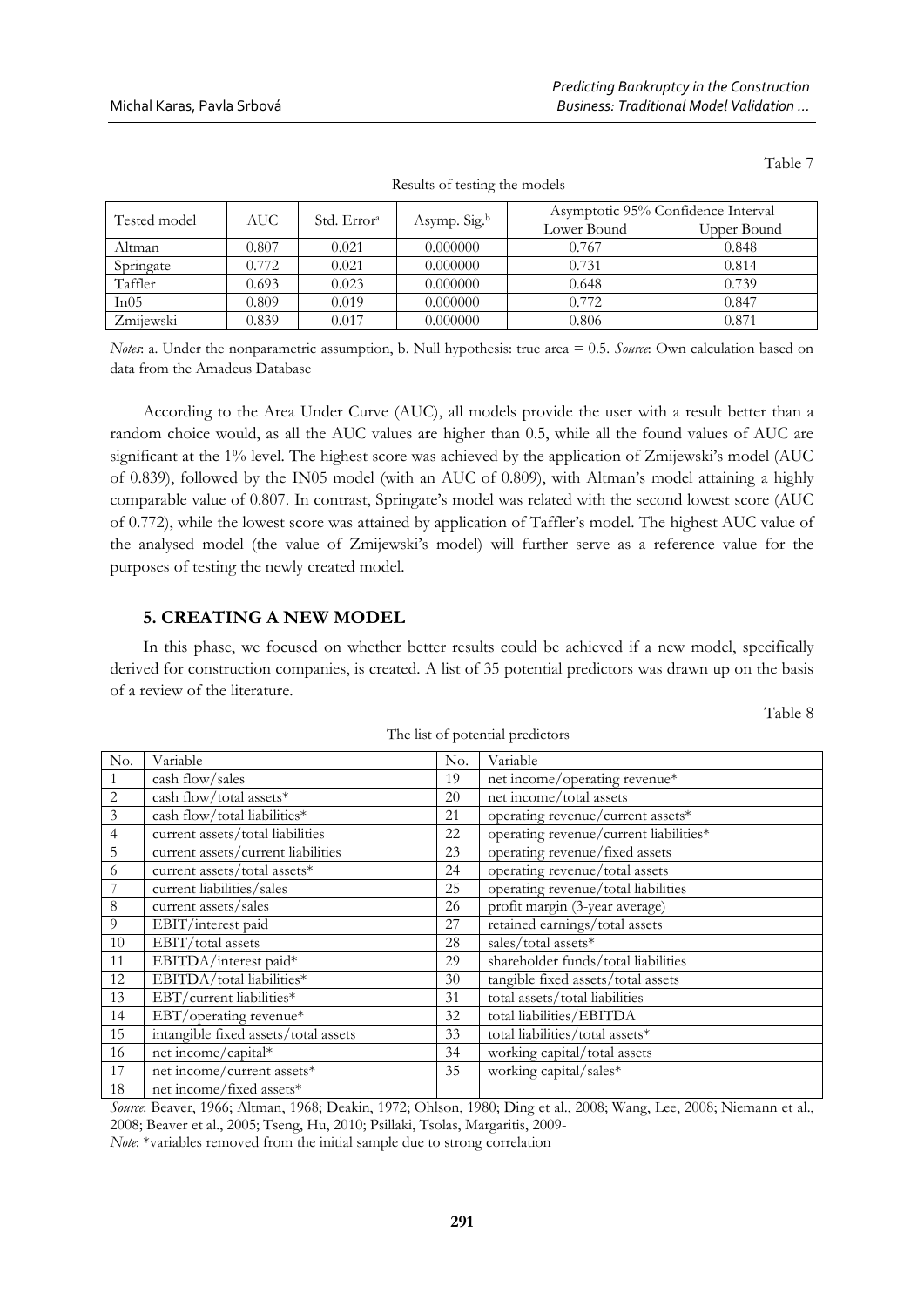| Tested model | AUC   | Std. Error <sup>a</sup> |                          | Asymptotic 95% Confidence Interval |             |  |
|--------------|-------|-------------------------|--------------------------|------------------------------------|-------------|--|
|              |       |                         | Asymp. Sig. <sup>b</sup> | Lower Bound                        | Upper Bound |  |
| Altman       | 0.807 | 0.021                   | 0.000000                 | 0.767                              | 0.848       |  |
| Springate    | 0.772 | 0.021                   | 0.000000                 | 0.731                              | 0.814       |  |
| Taffler      | 0.693 | 0.023                   | 0.000000                 | 0.648                              | 0.739       |  |
| In05         | 0.809 | 0.019                   | 0.000000                 | 0.772                              | 0.847       |  |
| Zmiiewski    | 0.839 | 0.017                   | 0.000000                 | 0.806                              | 0.871       |  |

*Notes*: a. Under the nonparametric assumption, b. Null hypothesis: true area = 0.5. *Source*: Own calculation based on data from the Amadeus Database

According to the Area Under Curve (AUC), all models provide the user with a result better than a random choice would, as all the AUC values are higher than 0.5, while all the found values of AUC are significant at the 1% level. The highest score was achieved by the application of Zmijewski's model (AUC) of 0.839), followed by the IN05 model (with an AUC of 0.809), with Altman's model attaining a highly comparable value of 0.807. In contrast, Springate's model was related with the second lowest score (AUC of 0.772), while the lowest score was attained by application of Taffler's model. The highest AUC value of the analysed model (the value of Zmijewski's model) will further serve as a reference value for the purposes of testing the newly created model.

# **5. CREATING A NEW MODEL**

In this phase, we focused on whether better results could be achieved if a new model, specifically derived for construction companies, is created. A list of 35 potential predictors was drawn up on the basis of a review of the literature.

Table 8

Table 7

| No.            | Variable                             | No. | Variable                               |
|----------------|--------------------------------------|-----|----------------------------------------|
| 1              | cash flow/sales                      | 19  | net income/operating revenue*          |
| $\overline{2}$ | cash flow/total assets*              | 20  | net income/total assets                |
| 3              | cash flow/total liabilities*         | 21  | operating revenue/current assets*      |
| 4              | current assets/total liabilities     | 22  | operating revenue/current liabilities* |
| 5              | current assets/current liabilities   | 23  | operating revenue/fixed assets         |
| 6              | current assets/total assets*         | 24  | operating revenue/total assets         |
| 7              | current liabilities/sales            | 25  | operating revenue/total liabilities    |
| $\,8\,$        | current assets/sales                 | 26  | profit margin (3-year average)         |
| 9              | EBIT/interest paid                   | 27  | retained earnings/total assets         |
| $10\,$         | EBIT/total assets                    | 28  | sales/total assets*                    |
| 11             | EBITDA/interest paid*                | 29  | shareholder funds/total liabilities    |
| 12             | EBITDA/total liabilities*            | 30  | tangible fixed assets/total assets     |
| 13             | EBT/current liabilities*             | 31  | total assets/total liabilities         |
| 14             | EBT/operating revenue*               | 32  | total liabilities/EBITDA               |
| 15             | intangible fixed assets/total assets | 33  | total liabilities/total assets*        |
| 16             | net income/capital*                  | 34  | working capital/total assets           |
| 17             | net income/current assets*           | 35  | working capital/sales*                 |
| 18             | net income/fixed assets*             |     |                                        |

The list of potential predictors

*Source*: Beaver, 1966; Altman, 1968; Deakin, 1972; Ohlson, 1980; Ding et al., 2008; Wang, Lee, 2008; Niemann et al., 2008; Beaver et al., 2005; Tseng, Hu, 2010; Psillaki, Tsolas, Margaritis, 2009-

*Note*: \*variables removed from the initial sample due to strong correlation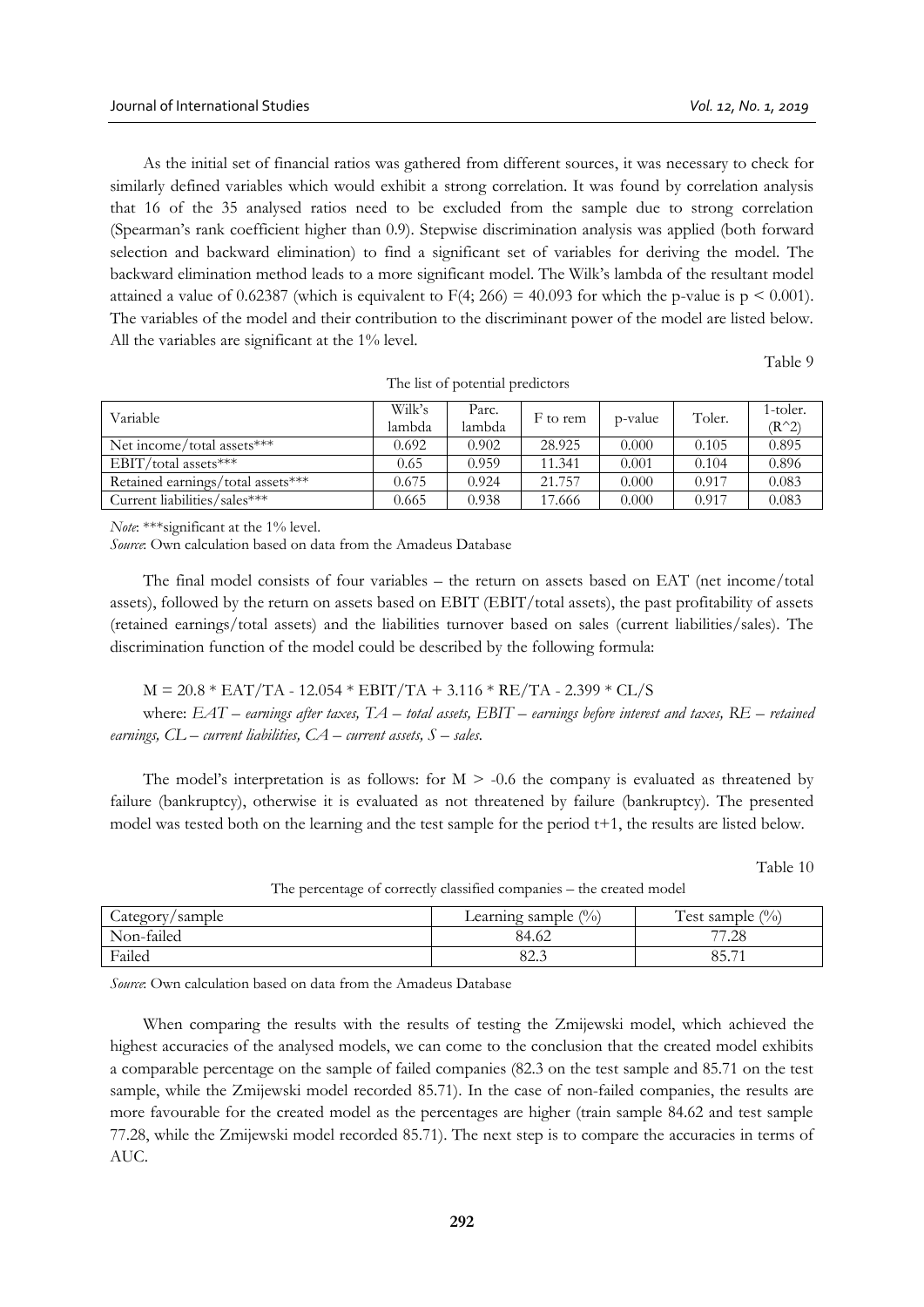As the initial set of financial ratios was gathered from different sources, it was necessary to check for similarly defined variables which would exhibit a strong correlation. It was found by correlation analysis that 16 of the 35 analysed ratios need to be excluded from the sample due to strong correlation (Spearman's rank coefficient higher than 0.9). Stepwise discrimination analysis was applied (both forward selection and backward elimination) to find a significant set of variables for deriving the model. The backward elimination method leads to a more significant model. The Wilk's lambda of the resultant model attained a value of 0.62387 (which is equivalent to  $F(4; 266) = 40.093$  for which the p-value is  $p \le 0.001$ ). The variables of the model and their contribution to the discriminant power of the model are listed below. All the variables are significant at the 1% level.

Table 9

| Variable                          | Wilk's<br>lambda | Parc.<br>lambda | F to rem | p-value | Toler. | 1-toler.<br>$(R^2)$ |
|-----------------------------------|------------------|-----------------|----------|---------|--------|---------------------|
| Net income/total assets***        | 0.692            | 0.902           | 28.925   | 0.000   | 0.105  | 0.895               |
| EBIT/total assets***              | 0.65             | 0.959           | 11.341   | 0.001   | 0.104  | 0.896               |
| Retained earnings/total assets*** | 0.675            | 0.924           | 21.757   | 0.000   | 0.917  | 0.083               |
| Current liabilities/sales***      | 0.665            | 0.938           | 17.666   | 0.000   | 0.917  | 0.083               |

The list of potential predictors

*Note*: \*\*\*significant at the 1% level.

*Source*: Own calculation based on data from the Amadeus Database

The final model consists of four variables – the return on assets based on EAT (net income/total assets), followed by the return on assets based on EBIT (EBIT/total assets), the past profitability of assets (retained earnings/total assets) and the liabilities turnover based on sales (current liabilities/sales). The discrimination function of the model could be described by the following formula:

 $M = 20.8 * EAT/TA - 12.054 * EBIT/TA + 3.116 * RE/TA - 2.399 * CL/S$ 

where: *EAT – earnings after taxes, TA – total assets, EBIT – earnings before interest and taxes, RE – retained earnings, CL – current liabilities, CA – current assets, S – sales.*

The model's interpretation is as follows: for  $M > -0.6$  the company is evaluated as threatened by failure (bankruptcy), otherwise it is evaluated as not threatened by failure (bankruptcy). The presented model was tested both on the learning and the test sample for the period t+1, the results are listed below.

Table 10

| Category/sample | $\frac{(0)}{(0)}$<br>Learning sample, | Test sample<br>$\binom{0}{0}$         |
|-----------------|---------------------------------------|---------------------------------------|
| Non-failed      | 84.62                                 | 77.28                                 |
| Failed          | 022<br>04.J                           | QE<br>$\overline{\phantom{a}}$<br>0J. |

The percentage of correctly classified companies – the created model

*Source*: Own calculation based on data from the Amadeus Database

When comparing the results with the results of testing the Zmijewski model, which achieved the highest accuracies of the analysed models, we can come to the conclusion that the created model exhibits a comparable percentage on the sample of failed companies (82.3 on the test sample and 85.71 on the test sample, while the Zmijewski model recorded 85.71). In the case of non-failed companies, the results are more favourable for the created model as the percentages are higher (train sample 84.62 and test sample 77.28, while the Zmijewski model recorded 85.71). The next step is to compare the accuracies in terms of AUC.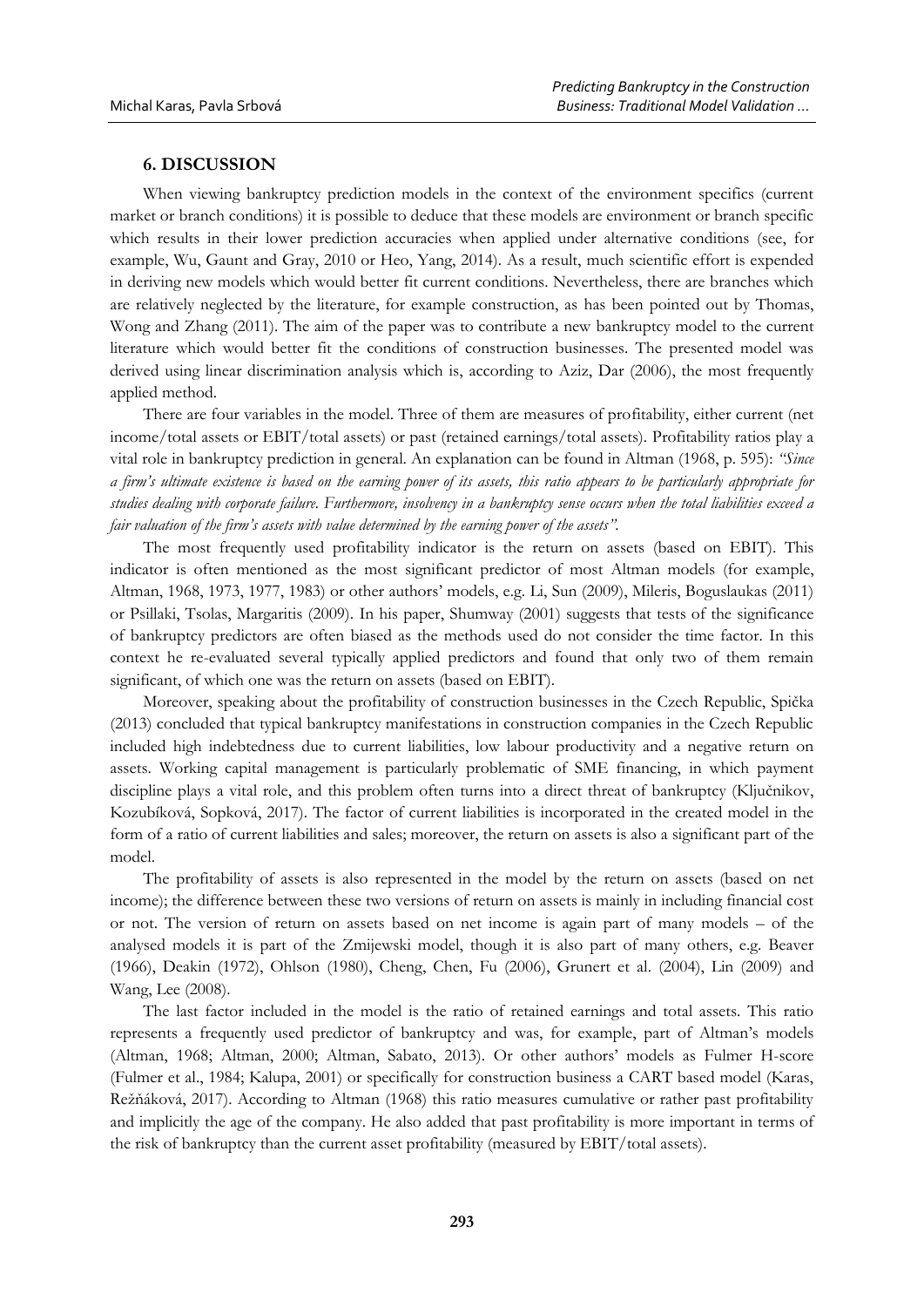## **6. DISCUSSION**

When viewing bankruptcy prediction models in the context of the environment specifics (current market or branch conditions) it is possible to deduce that these models are environment or branch specific which results in their lower prediction accuracies when applied under alternative conditions (see, for example, Wu, Gaunt and Gray, 2010 or Heo, Yang, 2014). As a result, much scientific effort is expended in deriving new models which would better fit current conditions. Nevertheless, there are branches which are relatively neglected by the literature, for example construction, as has been pointed out by Thomas, Wong and Zhang (2011). The aim of the paper was to contribute a new bankruptcy model to the current literature which would better fit the conditions of construction businesses. The presented model was derived using linear discrimination analysis which is, according to Aziz, Dar (2006), the most frequently applied method.

There are four variables in the model. Three of them are measures of profitability, either current (net income/total assets or EBIT/total assets) or past (retained earnings/total assets). Profitability ratios play a vital role in bankruptcy prediction in general. An explanation can be found in Altman (1968, p. 595): *"Since a firm's ultimate existence is based on the earning power of its assets, this ratio appears to be particularly appropriate for studies dealing with corporate failure. Furthermore, insolvency in a bankruptcy sense occurs when the total liabilities exceed a fair valuation of the firm's assets with value determined by the earning power of the assets".*

The most frequently used profitability indicator is the return on assets (based on EBIT). This indicator is often mentioned as the most significant predictor of most Altman models (for example, Altman, 1968, 1973, 1977, 1983) or other authors' models, e.g. Li, Sun (2009), Mileris, Boguslaukas (2011) or Psillaki, Tsolas, Margaritis (2009). In his paper, Shumway (2001) suggests that tests of the significance of bankruptcy predictors are often biased as the methods used do not consider the time factor. In this context he re-evaluated several typically applied predictors and found that only two of them remain significant, of which one was the return on assets (based on EBIT).

Moreover, speaking about the profitability of construction businesses in the Czech Republic, Spička (2013) concluded that typical bankruptcy manifestations in construction companies in the Czech Republic included high indebtedness due to current liabilities, low labour productivity and a negative return on assets. Working capital management is particularly problematic of SME financing, in which payment discipline plays a vital role, and this problem often turns into a direct threat of bankruptcy (Ključnikov, Kozubíková, Sopková, 2017). The factor of current liabilities is incorporated in the created model in the form of a ratio of current liabilities and sales; moreover, the return on assets is also a significant part of the model.

The profitability of assets is also represented in the model by the return on assets (based on net income); the difference between these two versions of return on assets is mainly in including financial cost or not. The version of return on assets based on net income is again part of many models – of the analysed models it is part of the Zmijewski model, though it is also part of many others, e.g. Beaver (1966), Deakin (1972), Ohlson (1980), Cheng, Chen, Fu (2006), Grunert et al. (2004), Lin (2009) and Wang, Lee (2008).

The last factor included in the model is the ratio of retained earnings and total assets. This ratio represents a frequently used predictor of bankruptcy and was, for example, part of Altman's models (Altman, 1968; Altman, 2000; Altman, Sabato, 2013). Or other authors' models as Fulmer H-score (Fulmer et al., 1984; Kalupa, 2001) or specifically for construction business a CART based model (Karas, Režňáková, 2017). According to Altman (1968) this ratio measures cumulative or rather past profitability and implicitly the age of the company. He also added that past profitability is more important in terms of the risk of bankruptcy than the current asset profitability (measured by EBIT/total assets).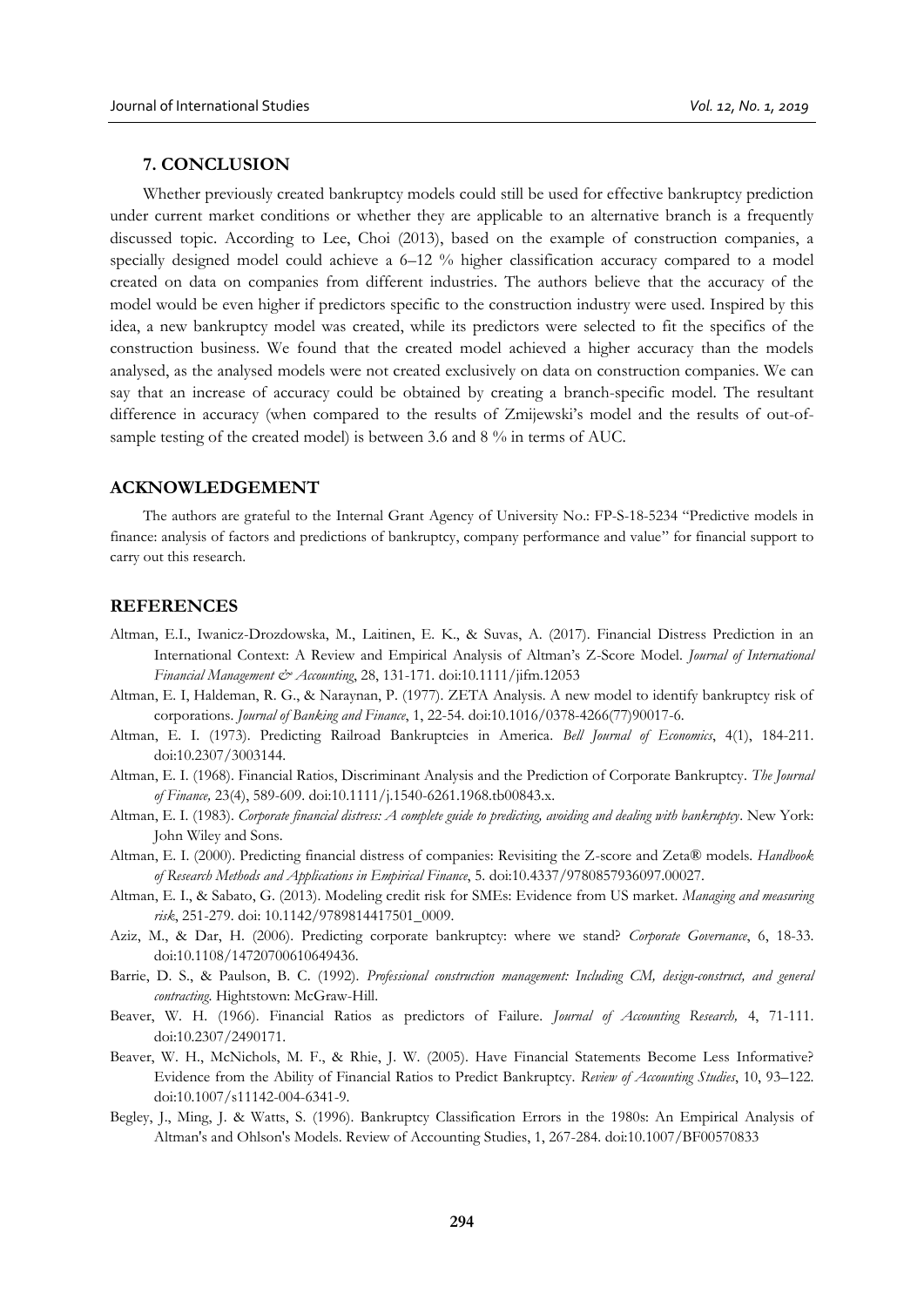# **7. CONCLUSION**

Whether previously created bankruptcy models could still be used for effective bankruptcy prediction under current market conditions or whether they are applicable to an alternative branch is a frequently discussed topic. According to Lee, Choi (2013), based on the example of construction companies, a specially designed model could achieve a 6–12 % higher classification accuracy compared to a model created on data on companies from different industries. The authors believe that the accuracy of the model would be even higher if predictors specific to the construction industry were used. Inspired by this idea, a new bankruptcy model was created, while its predictors were selected to fit the specifics of the construction business. We found that the created model achieved a higher accuracy than the models analysed, as the analysed models were not created exclusively on data on construction companies. We can say that an increase of accuracy could be obtained by creating a branch-specific model. The resultant difference in accuracy (when compared to the results of Zmijewski's model and the results of out-ofsample testing of the created model) is between 3.6 and 8 % in terms of AUC.

#### **ACKNOWLEDGEMENT**

The authors are grateful to the Internal Grant Agency of University No.: FP-S-18-5234 "Predictive models in finance: analysis of factors and predictions of bankruptcy, company performance and value" for financial support to carry out this research.

#### **REFERENCES**

- Altman, E.I., Iwanicz-Drozdowska, M., Laitinen, E. K., & Suvas, A. (2017). Financial Distress Prediction in an International Context: A Review and Empirical Analysis of Altman's Z-Score Model. *Journal of International Financial Management & Accounting*, 28, 131-171. doi:10.1111/jifm.12053
- Altman, E. I, Haldeman, R. G., & Naraynan, P. (1977). ZETA Analysis. A new model to identify bankruptcy risk of corporations. *Journal of Banking and Finance*, 1, 22-54. doi:10.1016/0378-4266(77)90017-6.
- Altman, E. I. (1973). Predicting Railroad Bankruptcies in America. *Bell Journal of Economics*, 4(1), 184-211. doi:10.2307/3003144.
- Altman, E. I. (1968). Financial Ratios, Discriminant Analysis and the Prediction of Corporate Bankruptcy. *The Journal of Finance,* 23(4), 589-609. doi:10.1111/j.1540-6261.1968.tb00843.x.
- Altman, E. I. (1983). *Corporate financial distress: A complete guide to predicting, avoiding and dealing with bankruptcy*. New York: John Wiley and Sons.
- Altman, E. I. (2000). Predicting financial distress of companies: Revisiting the Z-score and Zeta® models. *Handbook of Research Methods and Applications in Empirical Finance*, 5. doi:10.4337/9780857936097.00027.
- Altman, E. I., & Sabato, G. (2013). Modeling credit risk for SMEs: Evidence from US market. *Managing and measuring risk*, 251-279. doi: 10.1142/9789814417501\_0009.
- Aziz, M., & Dar, H. (2006). Predicting corporate bankruptcy: where we stand? *Corporate Governance*, 6, 18-33. doi:10.1108/14720700610649436.
- Barrie, D. S., & Paulson, B. C. (1992). *Professional construction management: Including CM, design-construct, and general contracting*. Hightstown: McGraw-Hill.
- Beaver, W. H. (1966). Financial Ratios as predictors of Failure. *Journal of Accounting Research,* 4, 71-111. doi:10.2307/2490171.
- Beaver, W. H., McNichols, M. F., & Rhie, J. W. (2005). Have Financial Statements Become Less Informative? Evidence from the Ability of Financial Ratios to Predict Bankruptcy. *Review of Accounting Studies*, 10, 93–122. doi:10.1007/s11142-004-6341-9.
- Begley, J., Ming, J. & Watts, S. (1996). Bankruptcy Classification Errors in the 1980s: An Empirical Analysis of Altman's and Ohlson's Models. Review of Accounting Studies, 1, 267-284. doi:10.1007/BF00570833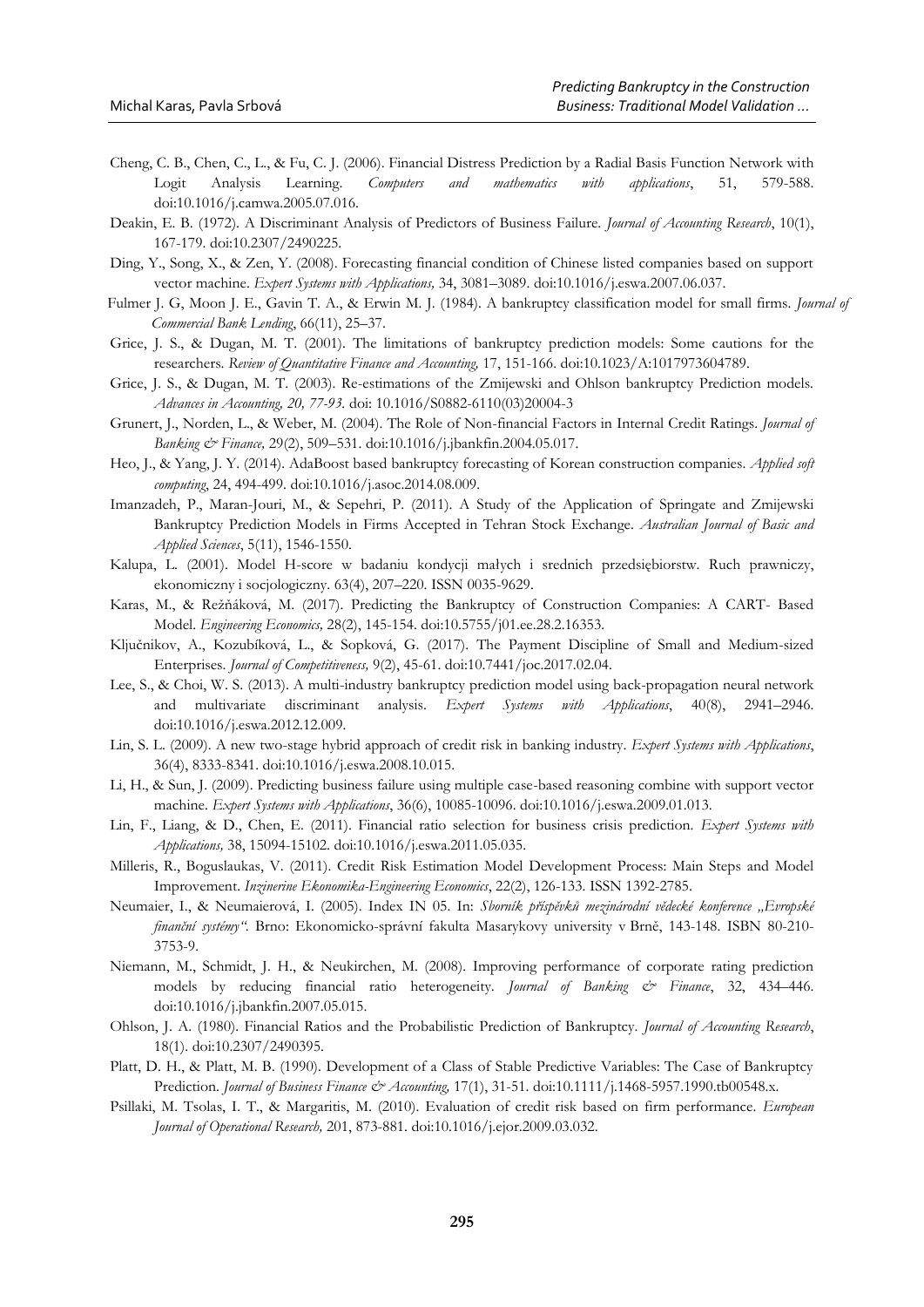- Cheng, C. B., Chen, C., L., & Fu, C. J. (2006). Financial Distress Prediction by a Radial Basis Function Network with Logit Analysis Learning. *Computers and mathematics with applications*, 51, 579-588. doi:10.1016/j.camwa.2005.07.016.
- Deakin, E. B. (1972). A Discriminant Analysis of Predictors of Business Failure. *Journal of Accounting Research*, 10(1), 167-179. doi:10.2307/2490225.
- Ding, Y., Song, X., & Zen, Y. (2008). Forecasting financial condition of Chinese listed companies based on support vector machine. *Expert Systems with Applications,* 34, 3081–3089. doi:10.1016/j.eswa.2007.06.037.
- Fulmer J. G, Moon J. E., Gavin T. A., & Erwin M. J. (1984). A bankruptcy classification model for small firms. *Journal of Commercial Bank Lending*, 66(11), 25–37.
- Grice, J. S., & Dugan, M. T. (2001). The limitations of bankruptcy prediction models: Some cautions for the researchers. *Review of Quantitative Finance and Accounting,* 17, 151-166. doi:10.1023/A:1017973604789.
- Grice, J. S., & Dugan, M. T. (2003). Re-estimations of the Zmijewski and Ohlson bankruptcy Prediction models. *Advances in Accounting, 20, 77-93.* doi: 10.1016/S0882-6110(03)20004-3
- Grunert, J., Norden, L., & Weber, M. (2004). The Role of Non-financial Factors in Internal Credit Ratings. *Journal of Banking & Finance,* 29(2), 509–531. doi:10.1016/j.jbankfin.2004.05.017.
- Heo, J., & Yang, J. Y. (2014). AdaBoost based bankruptcy forecasting of Korean construction companies. *Applied soft computing*, 24, 494-499. doi:10.1016/j.asoc.2014.08.009.
- Imanzadeh, P., Maran-Jouri, M., & Sepehri, P. (2011). A Study of the Application of Springate and Zmijewski Bankruptcy Prediction Models in Firms Accepted in Tehran Stock Exchange. *Australian Journal of Basic and Applied Sciences*, 5(11), 1546-1550.
- Kalupa, L. (2001). Model H-score w badaniu kondycji małych i srednich przedsiębiorstw. Ruch prawniczy, ekonomiczny i socjologiczny. 63(4), 207–220. ISSN 0035-9629.
- Karas, M., & Režňáková, M. (2017). Predicting the Bankruptcy of Construction Companies: A CART- Based Model. *Engineering Economics,* 28(2), 145-154. doi:10.5755/j01.ee.28.2.16353.
- Ključnikov, A., Kozubíková, L., & Sopková, G. (2017). The Payment Discipline of Small and Medium-sized Enterprises. *Journal of Competitiveness,* 9(2), 45-61. doi:10.7441/joc.2017.02.04.
- Lee, S., & Choi, W. S. (2013). A multi-industry bankruptcy prediction model using back-propagation neural network and multivariate discriminant analysis. *Expert Systems with Applications*, 40(8), 2941–2946. doi:10.1016/j.eswa.2012.12.009.
- Lin, S. L. (2009). A new two-stage hybrid approach of credit risk in banking industry. *Expert Systems with Applications*, 36(4), 8333-8341. doi:10.1016/j.eswa.2008.10.015.
- Li, H., & Sun, J. (2009). Predicting business failure using multiple case-based reasoning combine with support vector machine. *Expert Systems with Applications*, 36(6), 10085-10096. doi:10.1016/j.eswa.2009.01.013.
- Lin, F., Liang, & D., Chen, E. (2011). Financial ratio selection for business crisis prediction. *Expert Systems with Applications,* 38, 15094-15102. doi:10.1016/j.eswa.2011.05.035.
- Milleris, R., Boguslaukas, V. (2011). Credit Risk Estimation Model Development Process: Main Steps and Model Improvement. *Inzinerine Ekonomika-Engineering Economics*, 22(2), 126-133. ISSN 1392-2785.
- Neumaier, I., & Neumaierová, I. (2005). Index IN 05. In: *Sborník příspěvků mezinárodní vědecké konference "Evropské finanční systémy"*. Brno: Ekonomicko-správní fakulta Masarykovy university v Brně, 143-148. ISBN 80-210- 3753-9.
- Niemann, M., Schmidt, J. H., & Neukirchen, M. (2008). Improving performance of corporate rating prediction models by reducing financial ratio heterogeneity. *Journal of Banking & Finance*, 32, 434–446. doi:10.1016/j.jbankfin.2007.05.015.
- Ohlson, J. A. (1980). Financial Ratios and the Probabilistic Prediction of Bankruptcy. *Journal of Accounting Research*, 18(1). doi:10.2307/2490395.
- Platt, D. H., & Platt, M. B. (1990). Development of a Class of Stable Predictive Variables: The Case of Bankruptcy Prediction. *Journal of Business Finance & Accounting,* 17(1), 31-51. doi:10.1111/j.1468-5957.1990.tb00548.x.
- Psillaki, M. Tsolas, I. T., & Margaritis, M. (2010). Evaluation of credit risk based on firm performance. *European Journal of Operational Research,* 201, 873-881. doi:10.1016/j.ejor.2009.03.032.